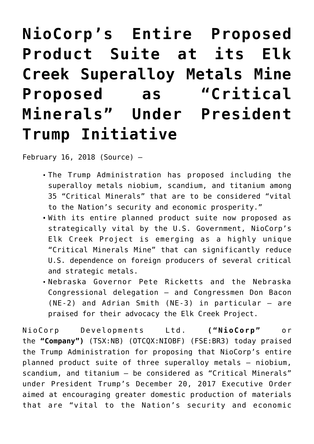## **[NioCorp's Entire Proposed](https://investorintel.com/markets/technology-metals/technology-metals-news/niocorps-entire-proposed-product-suite-elk-creek-superalloy-metals-mine-proposed-critical-minerals-president-trump-initiative/) [Product Suite at its Elk](https://investorintel.com/markets/technology-metals/technology-metals-news/niocorps-entire-proposed-product-suite-elk-creek-superalloy-metals-mine-proposed-critical-minerals-president-trump-initiative/) [Creek Superalloy Metals Mine](https://investorintel.com/markets/technology-metals/technology-metals-news/niocorps-entire-proposed-product-suite-elk-creek-superalloy-metals-mine-proposed-critical-minerals-president-trump-initiative/) [Proposed as "Critical](https://investorintel.com/markets/technology-metals/technology-metals-news/niocorps-entire-proposed-product-suite-elk-creek-superalloy-metals-mine-proposed-critical-minerals-president-trump-initiative/) [Minerals" Under President](https://investorintel.com/markets/technology-metals/technology-metals-news/niocorps-entire-proposed-product-suite-elk-creek-superalloy-metals-mine-proposed-critical-minerals-president-trump-initiative/) [Trump Initiative](https://investorintel.com/markets/technology-metals/technology-metals-news/niocorps-entire-proposed-product-suite-elk-creek-superalloy-metals-mine-proposed-critical-minerals-president-trump-initiative/)**

February 16, 2018 ([Source\)](https://investorintel.com/iintel-members/niocorp-developments-ltd/) —

- The Trump Administration has proposed including the superalloy metals niobium, scandium, and titanium among 35 "Critical Minerals" that are to be considered "vital to the Nation's security and economic prosperity."
- With its entire planned product suite now proposed as strategically vital by the U.S. Government, NioCorp's Elk Creek Project is emerging as a highly unique "Critical Minerals Mine" that can significantly reduce U.S. dependence on foreign producers of several critical and strategic metals.
- Nebraska Governor Pete Ricketts and the Nebraska Congressional delegation – and Congressmen Don Bacon (NE-2) and Adrian Smith (NE-3) in particular – are praised for their advocacy the Elk Creek Project.

NioCorp Developments Ltd. **("NioCorp"** or the **"Company")** (TSX:NB) (OTCQX:NIOBF) (FSE:BR3) today praised the Trump Administration for proposing that NioCorp's entire planned product suite of three superalloy metals – niobium, scandium, and titanium – be considered as "Critical Minerals" under President Trump's December 20, 2017 Executive Order aimed at encouraging greater domestic production of materials that are "vital to the Nation's security and economic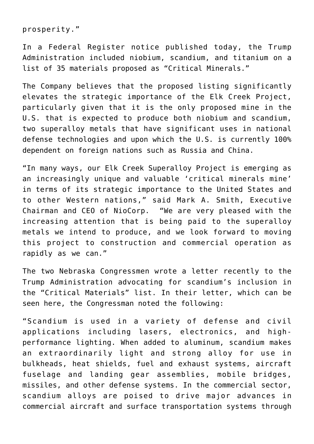prosperity."

In a [Federal Register notice](https://www.globenewswire.com/Tracker?data=JhyLWU6cl9SbXCKjKXbXwW9-7IyvJFLlyeLVbgD7RlWsij_WjCyj5OvokNIgVr0B2GHLMd5oTcZniYj6rmyjiyaRzbngecWT5Echwut0HM4H2jD-QYdIrwLZIE9rOkUDNke47ZiKAXRIsOASbrm7Jp_Hgb_2e7PDESumbD9L6WEHkbYPufQ6kcWXNcGA0y-C) published today, the Trump Administration included niobium, scandium, and titanium on a list of 35 materials proposed as "Critical Minerals."

The Company believes that the proposed listing significantly elevates the strategic importance of the Elk Creek Project, particularly given that it is the only proposed mine in the U.S. that is expected to produce both niobium and scandium, two superalloy metals that have significant uses in national defense technologies and upon which the U.S. is currently 100% dependent on foreign nations such as Russia and China.

"In many ways, our Elk Creek Superalloy Project is emerging as an increasingly unique and valuable 'critical minerals mine' in terms of its strategic importance to the United States and to other Western nations," said Mark A. Smith, Executive Chairman and CEO of NioCorp. "We are very pleased with the increasing attention that is being paid to the superalloy metals we intend to produce, and we look forward to moving this project to construction and commercial operation as rapidly as we can."

The two Nebraska Congressmen wrote a letter recently to the Trump Administration advocating for scandium's inclusion in the "Critical Materials" list. In their letter, [which can be](https://www.globenewswire.com/Tracker?data=ol4L1MdJBgNXxzfLja4OloZ63Cdfow1A1sIfkOUPRWFKB8Avl-A1TNgiY9q1UhUsOQnqLA3YVJklfSvWexeQPtZHl1llEngxm7EuN0A78YtMJrYdbg_oaCXrzRoL8VfocMD8-LYwWAAveTRfVWa4j2lT_y8UlbZSUGo6zx20E_tgxoiVzn1j1GJczqckqFlD) [seen here,](https://www.globenewswire.com/Tracker?data=ol4L1MdJBgNXxzfLja4OloZ63Cdfow1A1sIfkOUPRWFKB8Avl-A1TNgiY9q1UhUsOQnqLA3YVJklfSvWexeQPtZHl1llEngxm7EuN0A78YtMJrYdbg_oaCXrzRoL8VfocMD8-LYwWAAveTRfVWa4j2lT_y8UlbZSUGo6zx20E_tgxoiVzn1j1GJczqckqFlD) the Congressman noted the following:

"Scandium is used in a variety of defense and civil applications including lasers, electronics, and highperformance lighting. When added to aluminum, scandium makes an extraordinarily light and strong alloy for use in bulkheads, heat shields, fuel and exhaust systems, aircraft fuselage and landing gear assemblies, mobile bridges, missiles, and other defense systems. In the commercial sector, scandium alloys are poised to drive major advances in commercial aircraft and surface transportation systems through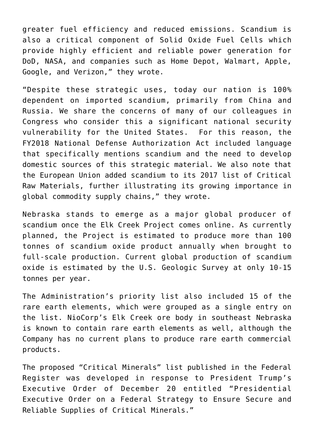greater fuel efficiency and reduced emissions. Scandium is also a critical component of Solid Oxide Fuel Cells which provide highly efficient and reliable power generation for DoD, NASA, and companies such as Home Depot, Walmart, Apple, Google, and Verizon," they wrote.

"Despite these strategic uses, today our nation is 100% dependent on imported scandium, primarily from China and Russia. We share the concerns of many of our colleagues in Congress who consider this a significant national security vulnerability for the United States. For this reason, the FY2018 National Defense Authorization Act included language that specifically mentions scandium and the need to develop domestic sources of this strategic material. We also note that the European Union added scandium to its 2017 list of Critical Raw Materials, further illustrating its growing importance in global commodity supply chains," they wrote.

Nebraska stands to emerge as a major global producer of scandium once the Elk Creek Project comes online. As currently planned, the Project is estimated to produce more than 100 tonnes of scandium oxide product annually when brought to full-scale production. Current global production of scandium oxide is estimated by the U.S. Geologic Survey at only 10-15 tonnes per year.

The Administration's priority list also included 15 of the rare earth elements, which were grouped as a single entry on the list. NioCorp's Elk Creek ore body in southeast Nebraska is known to contain rare earth elements as well, although the Company has no current plans to produce rare earth commercial products.

The proposed "Critical Minerals" list published in the Federal Register was developed in response to President Trump's Executive Order of December 20 entitled "[Presidential](https://www.globenewswire.com/Tracker?data=Fct_JvEmMa95I34DmjI0f_rGKTaz-URgzV8Em0pk95NZ3e14la-13PhbWHarF8WUYqagNm5up2cuZYqARUzyjQMggfB2qjjXPekLpM-qXVfa5J46qzqVich1c8aISLyrHwMYmxaI6P3cVmr16aJDp2SfNWEAIJNtM8wNGnUQUBDuVAhCWyR9WxrbP64sy8JwpVFO5tJA7NVCxlo8XezJNX89sZddhobxQHYxHtxEHGCaMA4Bs586HXDvtYcIyXlY6r9vyJA4Eqyhm0RFaFl4xlxQEu4cdBpQbwerxh1hpRZsE314oL5MxLaTWzZzvpztWit-uIFH-hbmHUzV0NTwZbKuw-JYW3eSwLuXbgBVhsyTok949sgiqy6O2qiLgTuF) [Executive Order on a Federal Strategy to Ensure Secure and](https://www.globenewswire.com/Tracker?data=Fct_JvEmMa95I34DmjI0f_rGKTaz-URgzV8Em0pk95NZ3e14la-13PhbWHarF8WUYqagNm5up2cuZYqARUzyjQMggfB2qjjXPekLpM-qXVfa5J46qzqVich1c8aISLyrHwMYmxaI6P3cVmr16aJDp2SfNWEAIJNtM8wNGnUQUBDuVAhCWyR9WxrbP64sy8JwpVFO5tJA7NVCxlo8XezJNX89sZddhobxQHYxHtxEHGCaMA4Bs586HXDvtYcIyXlY6r9vyJA4Eqyhm0RFaFl4xlxQEu4cdBpQbwerxh1hpRZsE314oL5MxLaTWzZzvpztWit-uIFH-hbmHUzV0NTwZbKuw-JYW3eSwLuXbgBVhsyTok949sgiqy6O2qiLgTuF) [Reliable Supplies of Critical Minerals](https://www.globenewswire.com/Tracker?data=Fct_JvEmMa95I34DmjI0f_rGKTaz-URgzV8Em0pk95NZ3e14la-13PhbWHarF8WUYqagNm5up2cuZYqARUzyjQMggfB2qjjXPekLpM-qXVfa5J46qzqVich1c8aISLyrHwMYmxaI6P3cVmr16aJDp2SfNWEAIJNtM8wNGnUQUBDuVAhCWyR9WxrbP64sy8JwpVFO5tJA7NVCxlo8XezJNX89sZddhobxQHYxHtxEHGCaMA4Bs586HXDvtYcIyXlY6r9vyJA4Eqyhm0RFaFl4xlxQEu4cdBpQbwerxh1hpRZsE314oL5MxLaTWzZzvpztWit-uIFH-hbmHUzV0NTwZbKuw-JYW3eSwLuXbgBVhsyTok949sgiqy6O2qiLgTuF)."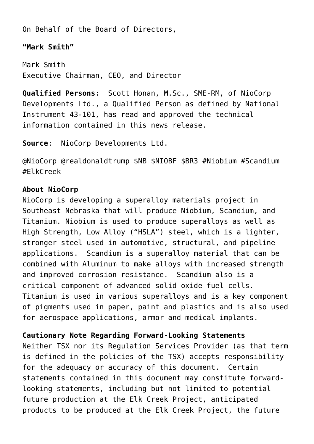On Behalf of the Board of Directors,

**"Mark Smith"**

Mark Smith Executive Chairman, CEO, and Director

**Qualified Persons:** Scott Honan, M.Sc., SME-RM, of NioCorp Developments Ltd., a Qualified Person as defined by National Instrument 43-101, has read and approved the technical information contained in this news release.

**Source**: NioCorp Developments Ltd.

[@NioCorp](https://www.globenewswire.com/Tracker?data=G9GS_4vtGPjjjho1ilbGxsITbRmBYc7151Rd9eZZNwtwbbIGdRZWe7MV8R73vMTxPjFEukPeFMVm2fU6RVbEpg==) [@realdonaldtrump](https://www.globenewswire.com/Tracker?data=D_uz2IxUy_9fX5spjqnbIIs5WhahTf02g_HZ3ANuMAYs2g3JvU12ePU66CdARcEhio6wR4q7s5n8HIsS-Y-TWCc0fdPQiuNMLM9SiTfA6_4=) \$NB \$NIOBF \$BR3 #Niobium #Scandium #ElkCreek

## **About NioCorp**

NioCorp is developing a superalloy materials project in Southeast Nebraska that will produce Niobium, Scandium, and Titanium. Niobium is used to produce superalloys as well as High Strength, Low Alloy ("HSLA") steel, which is a lighter, stronger steel used in automotive, structural, and pipeline applications. Scandium is a superalloy material that can be combined with Aluminum to make alloys with increased strength and improved corrosion resistance. Scandium also is a critical component of advanced solid oxide fuel cells. Titanium is used in various superalloys and is a key component of pigments used in paper, paint and plastics and is also used for aerospace applications, armor and medical implants.

## **Cautionary Note Regarding Forward-Looking Statements**

Neither TSX nor its Regulation Services Provider (as that term is defined in the policies of the TSX) accepts responsibility for the adequacy or accuracy of this document. Certain statements contained in this document may constitute forwardlooking statements, including but not limited to potential future production at the Elk Creek Project, anticipated products to be produced at the Elk Creek Project, the future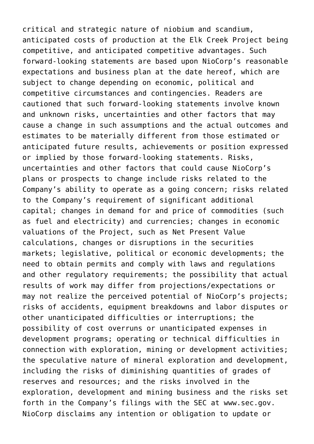critical and strategic nature of niobium and scandium, anticipated costs of production at the Elk Creek Project being competitive, and anticipated competitive advantages. Such forward-looking statements are based upon NioCorp's reasonable expectations and business plan at the date hereof, which are subject to change depending on economic, political and competitive circumstances and contingencies. Readers are cautioned that such forward-looking statements involve known and unknown risks, uncertainties and other factors that may cause a change in such assumptions and the actual outcomes and estimates to be materially different from those estimated or anticipated future results, achievements or position expressed or implied by those forward-looking statements. Risks, uncertainties and other factors that could cause NioCorp's plans or prospects to change include risks related to the Company's ability to operate as a going concern; risks related to the Company's requirement of significant additional capital; changes in demand for and price of commodities (such as fuel and electricity) and currencies; changes in economic valuations of the Project, such as Net Present Value calculations, changes or disruptions in the securities markets; legislative, political or economic developments; the need to obtain permits and comply with laws and regulations and other regulatory requirements; the possibility that actual results of work may differ from projections/expectations or may not realize the perceived potential of NioCorp's projects; risks of accidents, equipment breakdowns and labor disputes or other unanticipated difficulties or interruptions; the possibility of cost overruns or unanticipated expenses in development programs; operating or technical difficulties in connection with exploration, mining or development activities; the speculative nature of mineral exploration and development, including the risks of diminishing quantities of grades of reserves and resources; and the risks involved in the exploration, development and mining business and the risks set forth in the Company's filings with the SEC at www.sec.gov. NioCorp disclaims any intention or obligation to update or